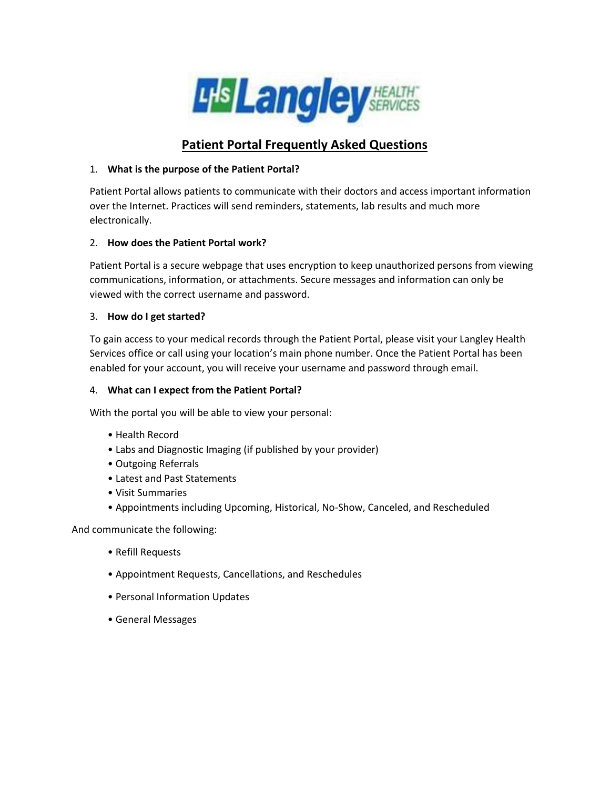

# **Patient Portal Frequently Asked Questions**

## 1. **What is the purpose of the Patient Portal?**

Patient Portal allows patients to communicate with their doctors and access important information over the Internet. Practices will send reminders, statements, lab results and much more electronically.

## 2. **How does the Patient Portal work?**

Patient Portal is a secure webpage that uses encryption to keep unauthorized persons from viewing communications, information, or attachments. Secure messages and information can only be viewed with the correct username and password.

#### 3. **How do I get started?**

To gain access to your medical records through the Patient Portal, please visit your Langley Health Services office or call using your location's main phone number. Once the Patient Portal has been enabled for your account, you will receive your username and password through email.

#### 4. **What can I expect from the Patient Portal?**

With the portal you will be able to view your personal:

- Health Record
- Labs and Diagnostic Imaging (if published by your provider)
- Outgoing Referrals
- Latest and Past Statements
- Visit Summaries
- Appointments including Upcoming, Historical, No-Show, Canceled, and Rescheduled

And communicate the following:

- Refill Requests
- Appointment Requests, Cancellations, and Reschedules
- Personal Information Updates
- General Messages